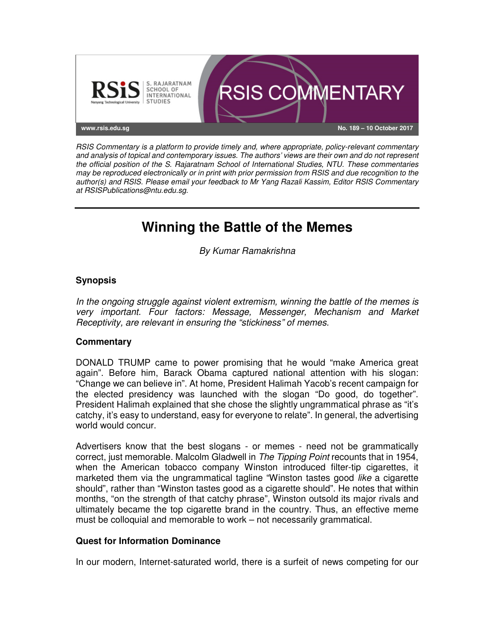

*RSIS Commentary is a platform to provide timely and, where appropriate, policy-relevant commentary and analysis of topical and contemporary issues. The authors' views are their own and do not represent the official position of the S. Rajaratnam School of International Studies, NTU. These commentaries may be reproduced electronically or in print with prior permission from RSIS and due recognition to the author(s) and RSIS. Please email your feedback to Mr Yang Razali Kassim, Editor RSIS Commentary at RSISPublications@ntu.edu.sg.* 

# **Winning the Battle of the Memes**

*By Kumar Ramakrishna*

## **Synopsis**

*In the ongoing struggle against violent extremism, winning the battle of the memes is very important. Four factors: Message, Messenger, Mechanism and Market Receptivity, are relevant in ensuring the "stickiness" of memes.* 

### **Commentary**

DONALD TRUMP came to power promising that he would "make America great again". Before him, Barack Obama captured national attention with his slogan: "Change we can believe in". At home, President Halimah Yacob's recent campaign for the elected presidency was launched with the slogan "Do good, do together". President Halimah explained that she chose the slightly ungrammatical phrase as "it's catchy, it's easy to understand, easy for everyone to relate". In general, the advertising world would concur.

Advertisers know that the best slogans - or memes - need not be grammatically correct, just memorable. Malcolm Gladwell in *The Tipping Point* recounts that in 1954, when the American tobacco company Winston introduced filter-tip cigarettes, it marketed them via the ungrammatical tagline "Winston tastes good *like* a cigarette should", rather than "Winston tastes good as a cigarette should". He notes that within months, "on the strength of that catchy phrase", Winston outsold its major rivals and ultimately became the top cigarette brand in the country. Thus, an effective meme must be colloquial and memorable to work – not necessarily grammatical.

### **Quest for Information Dominance**

In our modern, Internet-saturated world, there is a surfeit of news competing for our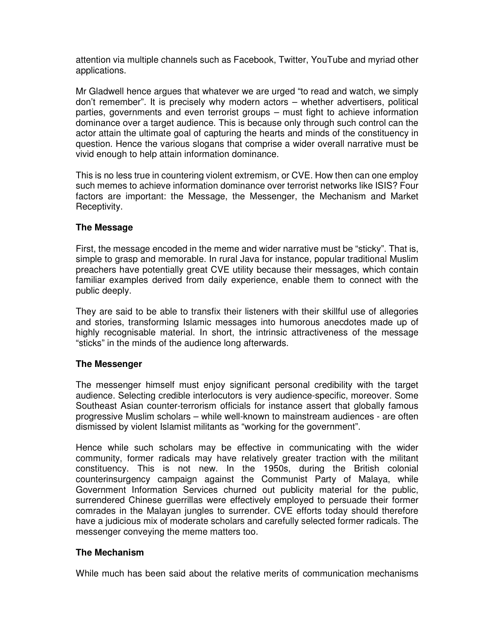attention via multiple channels such as Facebook, Twitter, YouTube and myriad other applications.

Mr Gladwell hence argues that whatever we are urged "to read and watch, we simply don't remember". It is precisely why modern actors – whether advertisers, political parties, governments and even terrorist groups – must fight to achieve information dominance over a target audience. This is because only through such control can the actor attain the ultimate goal of capturing the hearts and minds of the constituency in question. Hence the various slogans that comprise a wider overall narrative must be vivid enough to help attain information dominance.

This is no less true in countering violent extremism, or CVE. How then can one employ such memes to achieve information dominance over terrorist networks like ISIS? Four factors are important: the Message, the Messenger, the Mechanism and Market Receptivity.

### **The Message**

First, the message encoded in the meme and wider narrative must be "sticky". That is, simple to grasp and memorable. In rural Java for instance, popular traditional Muslim preachers have potentially great CVE utility because their messages, which contain familiar examples derived from daily experience, enable them to connect with the public deeply.

They are said to be able to transfix their listeners with their skillful use of allegories and stories, transforming Islamic messages into humorous anecdotes made up of highly recognisable material. In short, the intrinsic attractiveness of the message "sticks" in the minds of the audience long afterwards.

#### **The Messenger**

The messenger himself must enjoy significant personal credibility with the target audience. Selecting credible interlocutors is very audience-specific, moreover. Some Southeast Asian counter-terrorism officials for instance assert that globally famous progressive Muslim scholars – while well-known to mainstream audiences - are often dismissed by violent Islamist militants as "working for the government".

Hence while such scholars may be effective in communicating with the wider community, former radicals may have relatively greater traction with the militant constituency. This is not new. In the 1950s, during the British colonial counterinsurgency campaign against the Communist Party of Malaya, while Government Information Services churned out publicity material for the public, surrendered Chinese guerrillas were effectively employed to persuade their former comrades in the Malayan jungles to surrender. CVE efforts today should therefore have a judicious mix of moderate scholars and carefully selected former radicals. The messenger conveying the meme matters too.

### **The Mechanism**

While much has been said about the relative merits of communication mechanisms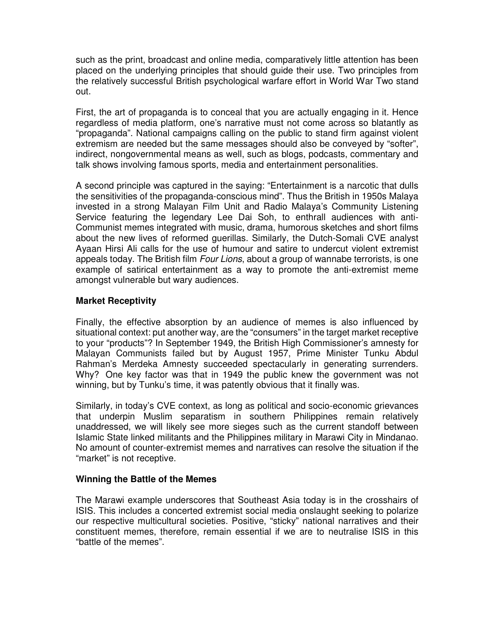such as the print, broadcast and online media, comparatively little attention has been placed on the underlying principles that should guide their use. Two principles from the relatively successful British psychological warfare effort in World War Two stand out.

First, the art of propaganda is to conceal that you are actually engaging in it. Hence regardless of media platform, one's narrative must not come across so blatantly as "propaganda". National campaigns calling on the public to stand firm against violent extremism are needed but the same messages should also be conveyed by "softer", indirect, nongovernmental means as well, such as blogs, podcasts, commentary and talk shows involving famous sports, media and entertainment personalities.

A second principle was captured in the saying: "Entertainment is a narcotic that dulls the sensitivities of the propaganda-conscious mind". Thus the British in 1950s Malaya invested in a strong Malayan Film Unit and Radio Malaya's Community Listening Service featuring the legendary Lee Dai Soh, to enthrall audiences with anti-Communist memes integrated with music, drama, humorous sketches and short films about the new lives of reformed guerillas. Similarly, the Dutch-Somali CVE analyst Ayaan Hirsi Ali calls for the use of humour and satire to undercut violent extremist appeals today. The British film *Four Lions*, about a group of wannabe terrorists, is one example of satirical entertainment as a way to promote the anti-extremist meme amongst vulnerable but wary audiences.

### **Market Receptivity**

Finally, the effective absorption by an audience of memes is also influenced by situational context: put another way, are the "consumers" in the target market receptive to your "products"? In September 1949, the British High Commissioner's amnesty for Malayan Communists failed but by August 1957, Prime Minister Tunku Abdul Rahman's Merdeka Amnesty succeeded spectacularly in generating surrenders. Why? One key factor was that in 1949 the public knew the government was not winning, but by Tunku's time, it was patently obvious that it finally was.

Similarly, in today's CVE context, as long as political and socio-economic grievances that underpin Muslim separatism in southern Philippines remain relatively unaddressed, we will likely see more sieges such as the current standoff between Islamic State linked militants and the Philippines military in Marawi City in Mindanao. No amount of counter-extremist memes and narratives can resolve the situation if the "market" is not receptive.

### **Winning the Battle of the Memes**

The Marawi example underscores that Southeast Asia today is in the crosshairs of ISIS. This includes a concerted extremist social media onslaught seeking to polarize our respective multicultural societies. Positive, "sticky" national narratives and their constituent memes, therefore, remain essential if we are to neutralise ISIS in this "battle of the memes".